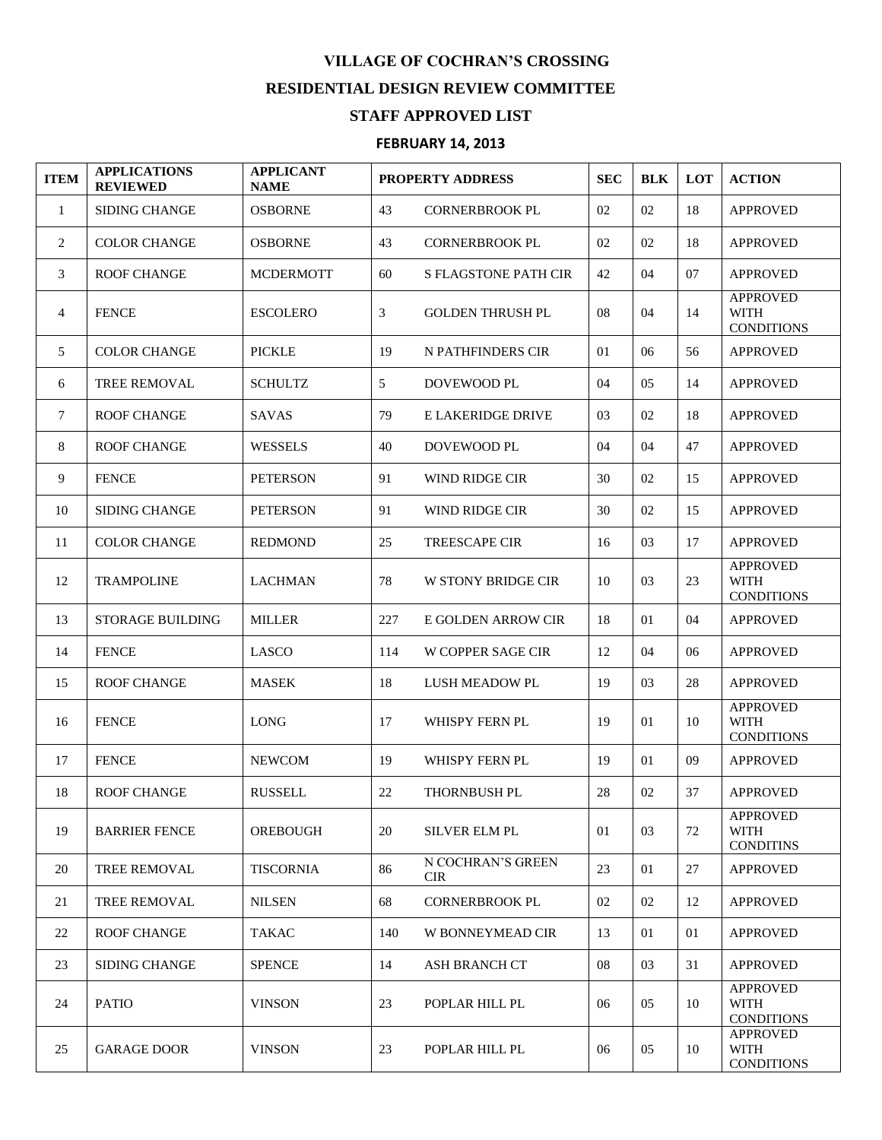## **VILLAGE OF COCHRAN'S CROSSING RESIDENTIAL DESIGN REVIEW COMMITTEE STAFF APPROVED LIST**

## **FEBRUARY 14, 2013**

| <b>ITEM</b>    | <b>APPLICATIONS</b><br><b>REVIEWED</b> | <b>APPLICANT</b><br><b>NAME</b> | PROPERTY ADDRESS |                                 | <b>SEC</b> | <b>BLK</b> | LOT | <b>ACTION</b>                                       |
|----------------|----------------------------------------|---------------------------------|------------------|---------------------------------|------------|------------|-----|-----------------------------------------------------|
| 1              | <b>SIDING CHANGE</b>                   | <b>OSBORNE</b>                  | 43               | <b>CORNERBROOK PL</b>           | 02         | 02         | 18  | <b>APPROVED</b>                                     |
| 2              | <b>COLOR CHANGE</b>                    | <b>OSBORNE</b>                  | 43               | <b>CORNERBROOK PL</b>           | 02         | 02         | 18  | <b>APPROVED</b>                                     |
| 3              | <b>ROOF CHANGE</b>                     | <b>MCDERMOTT</b>                | 60               | S FLAGSTONE PATH CIR            | 42         | 04         | 07  | <b>APPROVED</b>                                     |
| $\overline{4}$ | <b>FENCE</b>                           | <b>ESCOLERO</b>                 | 3                | <b>GOLDEN THRUSH PL</b>         | 08         | 04         | 14  | <b>APPROVED</b><br><b>WITH</b><br><b>CONDITIONS</b> |
| 5              | <b>COLOR CHANGE</b>                    | <b>PICKLE</b>                   | 19               | N PATHFINDERS CIR               | 01         | 06         | 56  | <b>APPROVED</b>                                     |
| 6              | <b>TREE REMOVAL</b>                    | <b>SCHULTZ</b>                  | 5                | DOVEWOOD PL                     | 04         | 05         | 14  | <b>APPROVED</b>                                     |
| $\tau$         | <b>ROOF CHANGE</b>                     | <b>SAVAS</b>                    | 79               | E LAKERIDGE DRIVE               | 03         | 02         | 18  | <b>APPROVED</b>                                     |
| 8              | <b>ROOF CHANGE</b>                     | <b>WESSELS</b>                  | 40               | DOVEWOOD PL                     | 04         | 04         | 47  | <b>APPROVED</b>                                     |
| 9              | <b>FENCE</b>                           | <b>PETERSON</b>                 | 91               | WIND RIDGE CIR                  | 30         | 02         | 15  | <b>APPROVED</b>                                     |
| 10             | <b>SIDING CHANGE</b>                   | <b>PETERSON</b>                 | 91               | WIND RIDGE CIR                  | 30         | 02         | 15  | <b>APPROVED</b>                                     |
| 11             | <b>COLOR CHANGE</b>                    | <b>REDMOND</b>                  | 25               | <b>TREESCAPE CIR</b>            | 16         | 03         | 17  | <b>APPROVED</b>                                     |
| 12             | <b>TRAMPOLINE</b>                      | <b>LACHMAN</b>                  | 78               | W STONY BRIDGE CIR              | 10         | 03         | 23  | <b>APPROVED</b><br><b>WITH</b><br><b>CONDITIONS</b> |
| 13             | <b>STORAGE BUILDING</b>                | <b>MILLER</b>                   | 227              | E GOLDEN ARROW CIR              | 18         | 01         | 04  | <b>APPROVED</b>                                     |
| 14             | <b>FENCE</b>                           | <b>LASCO</b>                    | 114              | W COPPER SAGE CIR               | 12         | 04         | 06  | <b>APPROVED</b>                                     |
| 15             | <b>ROOF CHANGE</b>                     | <b>MASEK</b>                    | 18               | LUSH MEADOW PL                  | 19         | 03         | 28  | <b>APPROVED</b>                                     |
| 16             | <b>FENCE</b>                           | <b>LONG</b>                     | 17               | WHISPY FERN PL                  | 19         | 01         | 10  | <b>APPROVED</b><br><b>WITH</b><br><b>CONDITIONS</b> |
| 17             | <b>FENCE</b>                           | <b>NEWCOM</b>                   | 19               | WHISPY FERN PL                  | 19         | 01         | 09  | <b>APPROVED</b>                                     |
| 18             | <b>ROOF CHANGE</b>                     | <b>RUSSELL</b>                  | 22               | <b>THORNBUSH PL</b>             | 28         | 02         | 37  | <b>APPROVED</b>                                     |
| 19             | <b>BARRIER FENCE</b>                   | <b>OREBOUGH</b>                 | 20               | <b>SILVER ELM PL</b>            | 01         | 03         | 72  | <b>APPROVED</b><br><b>WITH</b><br><b>CONDITINS</b>  |
| 20             | <b>TREE REMOVAL</b>                    | <b>TISCORNIA</b>                | 86               | N COCHRAN'S GREEN<br><b>CIR</b> | 23         | 01         | 27  | <b>APPROVED</b>                                     |
| 21             | TREE REMOVAL                           | <b>NILSEN</b>                   | 68               | <b>CORNERBROOK PL</b>           | 02         | 02         | 12  | <b>APPROVED</b>                                     |
| 22             | <b>ROOF CHANGE</b>                     | <b>TAKAC</b>                    | 140              | W BONNEYMEAD CIR                | 13         | 01         | 01  | <b>APPROVED</b>                                     |
| 23             | <b>SIDING CHANGE</b>                   | <b>SPENCE</b>                   | 14               | <b>ASH BRANCH CT</b>            | 08         | 03         | 31  | <b>APPROVED</b>                                     |
| 24             | <b>PATIO</b>                           | <b>VINSON</b>                   | 23               | POPLAR HILL PL                  | 06         | 05         | 10  | <b>APPROVED</b><br><b>WITH</b><br><b>CONDITIONS</b> |
| 25             | <b>GARAGE DOOR</b>                     | <b>VINSON</b>                   | 23               | POPLAR HILL PL                  | 06         | 05         | 10  | <b>APPROVED</b><br>WITH<br><b>CONDITIONS</b>        |